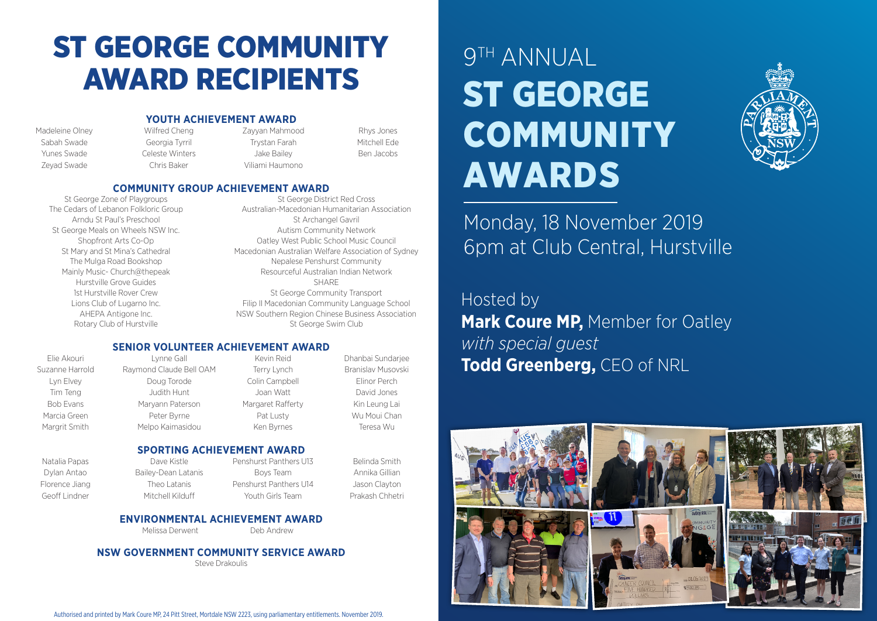# ST GEORGE COMMUNITY AWARD RECIPIENTS

### **YOUTH ACHIEVEMENT AWARD**

Madeleine Olney Sabah Swade Yunes Swade Zeyad Swade

Wilfred Cheng Georgia Tyrril Celeste Winters Zayyan Mahmood Trystan Farah Jake Bailey Viliami Haumono

Rhys Jones Mitchell Ede Ben Jacobs

### **COMMUNITY GROUP ACHIEVEMENT AWARD**

Chris Baker

St George Zone of Playgroups The Cedars of Lebanon Folkloric Group Arndu St Paul's Preschool St George Meals on Wheels NSW Inc. Shopfront Arts Co-Op St Mary and St Mina's Cathedral The Mulga Road Bookshop Mainly Music- Church@thepeak Hurstville Grove Guides 1st Hurstville Rover Crew Lions Club of Lugarno Inc. AHEPA Antigone Inc. Rotary Club of Hurstville

St George District Red Cross Australian-Macedonian Humanitarian Association St Archangel Gavril Autism Community Network Oatley West Public School Music Council Macedonian Australian Welfare Association of Sydney Nepalese Penshurst Community Resourceful Australian Indian Network SHARE St George Community Transport Filip II Macedonian Community Language School NSW Southern Region Chinese Business Association

St George Swim Club

#### Lynne Gall Kevin Reid **SENIOR VOLUNTEER ACHIEVEMENT AWARD**

Elie Akouri Suzanne Harrold Lyn Elvey Tim Teng Bob Evans Marcia Green Margrit Smith

Natalia Papas Dylan Antao Florence Jiang Geoff Lindner

Dave Kistle Bailey-Dean Latanis Theo Latanis Mitchell Kilduff

Joan Watt Margaret Rafferty Pat Lusty Ken Byrnes **SPORTING ACHIEVEMENT AWARD**

Terry Lynch Colin Campbell

Penshurst Panthers U13 Boys Team Penshurst Panthers U14 Youth Girls Team

### **ENVIRONMENTAL ACHIEVEMENT AWARD**

Melissa Derwent Deb Andrew

Raymond Claude Bell OAM Doug Torode Judith Hunt Maryann Paterson Peter Byrne Melpo Kaimasidou

Steve Drakoulis **NSW GOVERNMENT COMMUNITY SERVICE AWARD**

# 9TH ANNUAL ST GEORGE COMMUNITY AWARDS



### Monday, 18 November 2019 6pm at Club Central, Hurstville

Hosted by **Mark Coure MP, Member for Oatley** *with special guest* **Todd Greenberg,** CEO of NRL



Elinor Perch David Jones Kin Leung Lai Wu Moui Chan Teresa Wu

Dhanbai Sundarjee Branislav Musovski

Belinda Smith Annika Gillian Jason Clayton Prakash Chhetri